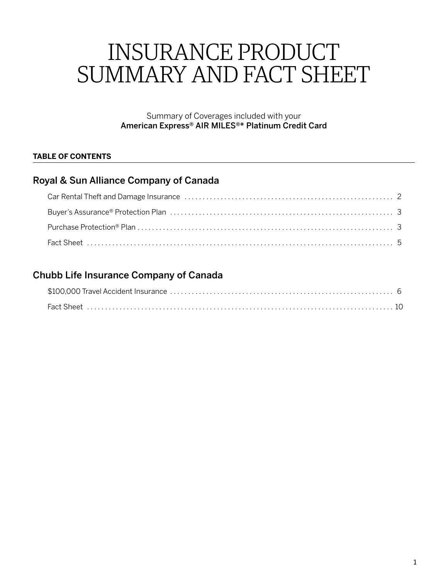# INSURANCE PRODUCT SUMMARY AND FACT SHEET

Summary of Coverages included with your American Express® AIR MILES®\* Platinum Credit Card

# **TABLE OF CONTENTS**

# Royal & Sun Alliance Company of Canada

# Chubb Life Insurance Company of Canada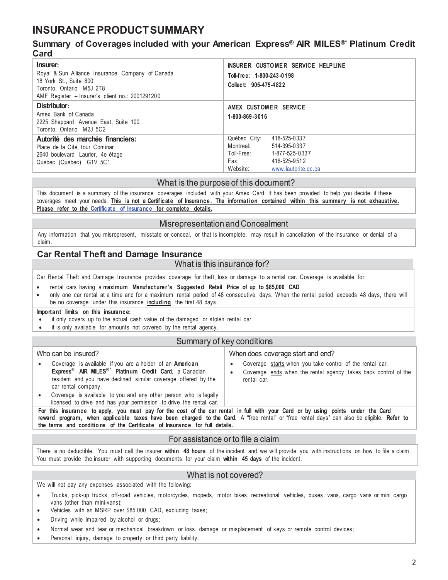# <span id="page-1-0"></span>**INSURANCE PRODUCT SUMMARY**

# **Summary of Coverages included with your American Express® AIR MILES®\* Platinum Credit Card**

| Insurer:<br>Royal & Sun Alliance Insurance Company of Canada<br>18 York St., Suite 800<br>Toronto, Ontario M5J 2T8<br>AMF Register - Insurer's client no.: 2001291200 | INSURER CUSTOMER SERVICE HELPLINE<br>Toll-free: 1-800-243-0198<br>Collect: 905-475-4822                                                                |
|-----------------------------------------------------------------------------------------------------------------------------------------------------------------------|--------------------------------------------------------------------------------------------------------------------------------------------------------|
| Distributor:<br>Amex Bank of Canada<br>2225 Sheppard Avenue East, Suite 100<br>Toronto, Ontario M2J 5C2                                                               | AMEX CUSTOMER SERVICE<br>1-800-869-3016                                                                                                                |
| Autorité des marchés financiers:<br>Place de la Cité, tour Cominar<br>2640 boulevard Laurier, 4e étage<br>Québec (Québec) G1V 5C1                                     | Québec City:<br>418-525-0337<br>Montreal:<br>514-395-0337<br>Toll-Free: 1-877-525-0337<br>418-525-9512<br>Fax: Fax:<br>Website:<br>www.lautorite.gc.ca |

### What is the purpose of this document?

This document is a summary of the insurance coverages included with your Amex Card. It has been provided to help you decide if these coverages meet your needs. **This is not a Certificate of Insuranc e. The information contained within this summary is not exhaustive. Please refer to the [Certificate of](https://www.insurance.americanexpress.com/ca/files/2019/06/190514-Air-Miles-Plat.-Ins.-Certs-16380-Eng.pdf) Insurance for complete details.**

### Misrepresentation and Concealment

Any information that you misrepresent, misstate or conceal, or that is incomplete, may result in cancellation of the insurance or denial of a claim.

# **Car Rental Theft and Damage Insurance**

### What is this insurance for?

Car Rental Theft and Damage Insurance provides coverage for theft, loss or damage to a rental car. Coverage is available for:

- rental cars having a maximum Manufacturer's Suggested Retail Price of up to \$85,000 CAD.
- only one car rental at a time and for a maximum rental period of 48 consecutive days. When the rental period exceeds 48 days, there will be no coverage under this insurance **including** the first 48 days.

#### **Important limits on this insurance:**

- it only covers up to the actual cash value of the damaged or stolen rental car.
- it is only available for amounts not covered by the rental agency.

#### Summary of key conditions

| Who can be insured?                                                                                                                                                                                                                       | When does coverage start and end? |                                                                                                                                           |
|-------------------------------------------------------------------------------------------------------------------------------------------------------------------------------------------------------------------------------------------|-----------------------------------|-------------------------------------------------------------------------------------------------------------------------------------------|
| Coverage is available if you are a holder of an <b>American</b><br>Express <sup>®</sup> AIR MILES <sup>®*</sup> Platinum Credit Card, a Canadian<br>resident and you have declined similar coverage offered by the<br>car rental company. |                                   | Coverage starts when you take control of the rental car.<br>Coverage ends when the rental agency takes back control of the<br>rental car. |
| Coverage is available to you and any other person who is legally<br>licensed to drive and has your permission to drive the rental car.                                                                                                    |                                   |                                                                                                                                           |
|                                                                                                                                                                                                                                           |                                   |                                                                                                                                           |

**For this insurance to apply, you must pay for the cost of the car rental in full with your Card or by using points under the Card reward program, when applicable taxes have been charged to the Card**. A **"**free rental" or "free rental days" can also be eligible. **Refer to the terms and conditio ns of the Certificate of Insurance for full details.**

### For assistance or to file a claim

There is no deductible. You must call the insurer **within 48 hours** of the incident and we will provide you with instructions on how to file a claim. You must provide the insurer with supporting documents for your claim **within 45 days** of the incident.

### What is not covered?

We will not pay any expenses associated with the following:

- Trucks, pick-up trucks, off-road vehicles, motorcycles, mopeds, motor bikes, recreational vehicles, buses, vans, cargo vans or mini cargo vans (other than mini-vans);
- Vehicles with an MSRP over \$85,000 CAD, excluding taxes;
- Driving while impaired by alcohol or drugs;
- Normal wear and tear or mechanical breakdown or loss, damage or misplacement of keys or remote control devices;
- Personal injury, damage to property or third party liability.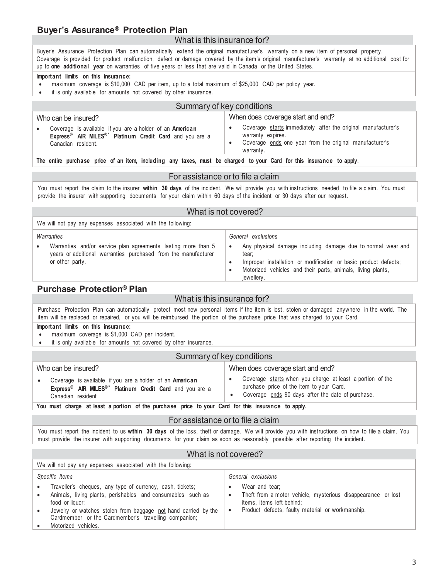# <span id="page-2-0"></span>**Buyer's Assurance® Protection Plan**

### What is this insurance for?

Buyer's Assurance Protection Plan can automatically extend the original manufacturer's warranty on a new item of personal property. Coverage is provided for product malfunction, defect or damage covered by the item's original manufacturer's warranty at no additional cost for up to **one additional year** on warranties of five years or less that are valid in Canada or the United States.

#### **Important limits on this insurance:**

- $\bullet$  maximum coverage is \$10,000 CAD per item, up to a total maximum of \$25,000 CAD per policy year.
- it is only available for amounts not covered by other insurance.

| Summary of key conditions                                                                                                                                         |                                                                                                                                                            |  |
|-------------------------------------------------------------------------------------------------------------------------------------------------------------------|------------------------------------------------------------------------------------------------------------------------------------------------------------|--|
| Who can be insured?                                                                                                                                               | When does coverage start and end?                                                                                                                          |  |
| Coverage is available if you are a holder of an American<br>Express <sup>®</sup> AIR MILES <sup>®*</sup> Platinum Credit Card and you are a<br>Canadian resident. | Coverage starts immediately after the original manufacturer's<br>warranty expires.<br>Coverage ends one year from the original manufacturer's<br>warranty. |  |

**The entire purchase price of an item, including any taxes, must be charged to your Card for this insurance to apply**.

### For assistance or to file a claim

You must report the claim to the insurer **within 30 days** of the incident. We will provide you with instructions needed to file a claim. You must provide the insurer with supporting documents for your claim within 60 days of the incident or 30 days after our request.

### What is not covered?

We will not pay any expenses associated with the following:

### *Warranties*

Warranties and/or service plan agreements lasting more than 5 years or additional warranties purchased from the manufacturer or other party.

*General exclusions*

- Any physical damage including damage due to normal wear and tear;
- Improper installation or modification or basic product defects;
- Motorized vehicles and their parts, animals, living plants,
- jewellery.

# **Purchase Protection® Plan**

# What is this insurance for?

Purchase Protection Plan can automatically protect most new personal items if the item is lost, stolen or damaged anywhere in the world. The item will be replaced or repaired, or you will be reimbursed the portion of the purchase price that was charged to your Card.

#### **Important limits on this insurance:**

- maximum coverage is \$1,000 CAD per incident.
- it is only available for amounts not covered by other insurance

### Summary of key conditions

| Who can be insured?                                                                                                                                              | When does coverage start and end?                                                                                                                          |
|------------------------------------------------------------------------------------------------------------------------------------------------------------------|------------------------------------------------------------------------------------------------------------------------------------------------------------|
| Coverage is available if you are a holder of an American<br>Express <sup>®</sup> AIR MILES <sup>®*</sup> Platinum Credit Card and you are a<br>Canadian resident | Coverage starts when you charge at least a portion of the<br>purchase price of the item to your Card.<br>Coverage ends 90 days after the date of purchase. |
| Maii musat abanya jatifaatti wandan jatifaa minabaasi milaa ta iraini Aand fan thia haaimanaa ta amphi                                                           |                                                                                                                                                            |

**You must charge at least a portion of the purchase price to your Card for this insurance to apply.**

### For assistance or to file a claim

You must report the incident to us **within 30 days** of the loss, theft or damage. We will provide you with instructions on how to file a claim. You must provide the insurer with supporting documents for your claim as soon as reasonably possible after reporting the incident.

#### What is not covered?

| We will not pay any expenses associated with the following:                                                                                                                                                                                                                                                                         |                                                                                                                                                                                           |  |
|-------------------------------------------------------------------------------------------------------------------------------------------------------------------------------------------------------------------------------------------------------------------------------------------------------------------------------------|-------------------------------------------------------------------------------------------------------------------------------------------------------------------------------------------|--|
| Specific items                                                                                                                                                                                                                                                                                                                      | General exclusions                                                                                                                                                                        |  |
| Traveller's cheques, any type of currency, cash, tickets;<br>$\bullet$<br>Animals, living plants, perishables and consumables such as<br>$\bullet$<br>food or liquor;<br>Jewelry or watches stolen from baggage not hand carried by the<br>$\bullet$<br>Cardmember or the Cardmember's travelling companion;<br>Motorized vehicles. | Wear and tear:<br>Theft from a motor vehicle, mysterious disappearance or lost<br>$\bullet$<br>items, items left behind:<br>Product defects, faulty material or workmanship.<br>$\bullet$ |  |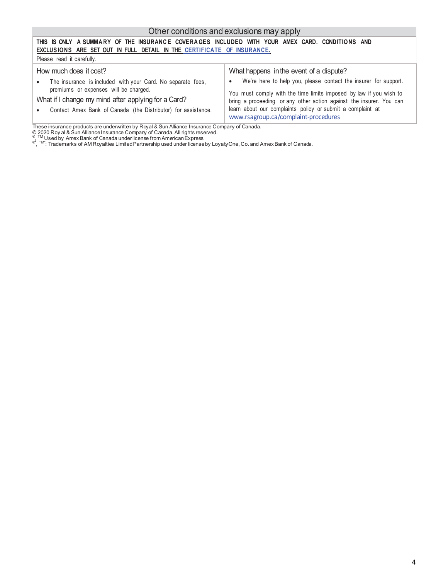# Other conditions and exclusions may apply

| THIS ISONLY ASUMMARY OF THE INSURANCE COVERAGES INCLUDED WITH YOUR AMEX CARD. CONDITIONS AND                                                                                          |                                                                                                                                                                                                                                                                      |  |
|---------------------------------------------------------------------------------------------------------------------------------------------------------------------------------------|----------------------------------------------------------------------------------------------------------------------------------------------------------------------------------------------------------------------------------------------------------------------|--|
| EXCLUSIONS ARE SET OUT IN FULL DETAIL IN THE CERTIFICATE OF INSURANCE.                                                                                                                |                                                                                                                                                                                                                                                                      |  |
| Please read it carefully.                                                                                                                                                             |                                                                                                                                                                                                                                                                      |  |
| How much does it cost?<br>The insurance is included with your Card. No separate fees,<br>premiums or expenses will be charged.<br>What if I change my mind after applying for a Card? | What happens in the event of a dispute?<br>We're here to help you, please contact the insurer for support.<br>$\bullet$<br>You must comply with the time limits imposed by law if you wish to<br>bring a proceeding or any other action against the insurer. You can |  |
| Contact Amex Bank of Canada (the Distributor) for assistance.                                                                                                                         | learn about our complaints policy or submit a complaint at<br>www.rsagroup.ca/complaint-procedures                                                                                                                                                                   |  |

These insurance products are underwritten by Royal & Sun Alliance Insurance Company of Canada.<br>© 2020 Roy al & Sun Alliance Insurance Company of Canada. All rights reserved.<br>® ™ Used by Amex Bank of Canada underlicense fr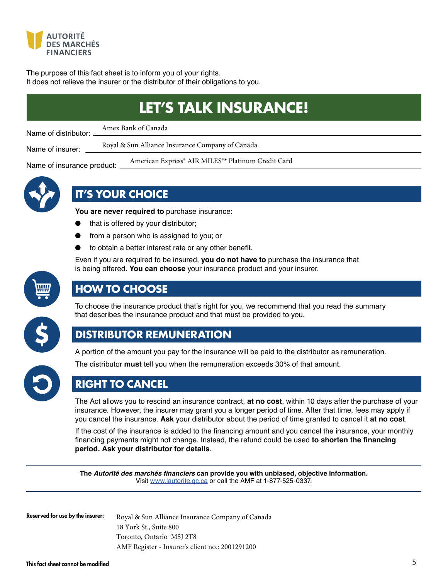<span id="page-4-0"></span>

Name of insurance product:

The purpose of this fact sheet is to inform you of your rights. It does not relieve the insurer or the distributor of their obligations to you.

|                                 | <b>LET'S TALK INSURANCE!</b>                       |
|---------------------------------|----------------------------------------------------|
| Name of distributor:            | Amex Bank of Canada                                |
| Name of insurer:                | Royal & Sun Alliance Insurance Company of Canada   |
| News and become expended to the | American Express® AIR MILES®* Platinum Credit Card |



# **IT'S YOUR CHOICE**

**You are never required to** purchase insurance:

- that is offered by your distributor;
- from a person who is assigned to you; or
- to obtain a better interest rate or any other benefit.

Even if you are required to be insured, **you do not have to** purchase the insurance that is being offered. You can choose your insurance product and your insurer.



# **HOW TO CHOOSE**

To choose the insurance product that's right for you, we recommend that you read the summary that describes the insurance product and that must be provided to you.



# **DISTRIBUTOR REMUNERATION**

A portion of the amount you pay for the insurance will be paid to the distributor as remuneration.



The distributor **must** tell you when the remuneration exceeds 30% of that amount.

# **RIGHT TO CANCEL**

The Act allows you to rescind an insurance contract, **at no cost**, within 10 days after the purchase of your insurance. However, the insurer may grant you a longer period of time. After that time, fees may apply if you cancel the insurance. Ask your distributor about the period of time granted to cancel it at no cost.

If the cost of the insurance is added to the financing amount and you cancel the insurance, your monthly financing payments might not change. Instead, the refund could be used to shorten the financing **period. Ask your distributor for details**

The Autorité des marchés financiers can provide you with unbiased, objective information. Visit www.lautorite.gc.ca or call the AMF at 1-877-525-0337.

Reserved for use by the insurer:

Royal & Sun Alliance Insurance Company of Canada 18 York St., Suite 800 Toronto, Ontario M5J 2T8 AMF Register - Insurer's client no.: 2001291200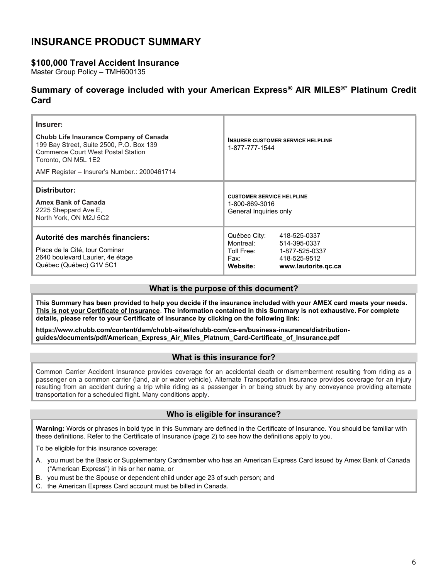# <span id="page-5-0"></span>INSURANCE PRODUCT SUMMARY

# \$100,000 Travel Accident Insurance

Master Group Policy – TMH600135

# Summary of coverage included with your American Express® AIR MILES®\* Platinum Credit Card

| Insurer:<br>Chubb Life Insurance Company of Canada<br>199 Bay Street, Suite 2500, P.O. Box 139<br><b>Commerce Court West Postal Station</b><br>Toronto, ON M5L 1E2<br>AMF Register – Insurer's Number.: 2000461714 | <b>INSURER CUSTOMER SERVICE HELPLINE</b><br>1-877-777-1544                                                                                           |
|--------------------------------------------------------------------------------------------------------------------------------------------------------------------------------------------------------------------|------------------------------------------------------------------------------------------------------------------------------------------------------|
| Distributor:<br><b>Amex Bank of Canada</b><br>2225 Sheppard Ave E,<br>North York, ON M2J 5C2                                                                                                                       | <b>CUSTOMER SERVICE HELPLINE</b><br>1-800-869-3016<br>General Inquiries only                                                                         |
| Autorité des marchés financiers:<br>Place de la Cité, tour Cominar<br>2640 boulevard Laurier, 4e étage<br>Québec (Québec) G1V 5C1                                                                                  | Québec City:<br>418-525-0337<br>Montreal:<br>514-395-0337<br>Toll Free:<br>1-877-525-0337<br>418-525-9512<br>Fax:<br>Website:<br>www.lautorite.gc.ca |

### What is the purpose of this document?

This Summary has been provided to help you decide if the insurance included with your AMEX card meets your needs. This is not your Certificate of Insurance. The information contained in this Summary is not exhaustive. For complete details, please refer to your Certificate of Insurance by clicking on the following link:

https://www.chubb.com/content/dam/chubb-sites/chubb-com/ca-en/business-insurance/distributionguides/documents/pdf/American\_Express\_Air\_Miles\_Platnum\_Card-Certificate\_of\_Insurance.pdf

### What is this insurance for?

Common Carrier Accident Insurance provides coverage for an accidental death or dismemberment resulting from riding as a passenger on a common carrier (land, air or water vehicle). Alternate Transportation Insurance provides coverage for an injury resulting from an accident during a trip while riding as a passenger in or being struck by any conveyance providing alternate transportation for a scheduled flight. Many conditions apply.

# Who is eligible for insurance?

Warning: Words or phrases in bold type in this Summary are defined in the Certificat[e of Insurance. You should b](https://www.insurance.americanexpress.com/ca/files/2019/06/190514-Air-Miles-Plat.-Ins.-Certs-16380-Eng.pdf)e familiar with these definitions. Refer to the Certificate of Insurance (page 2) to see how the definitions apply to you.

To be eligible for this insurance coverage:

- A. you must be the Basic or Supplementary Cardmember who has an American Express Card issued by Amex Bank of Canada ("American Express") in his or her name, or
- B. you must be the Spouse or dependent child under age 23 of such person; and
- C. the American Express Card account must be billed in Canada.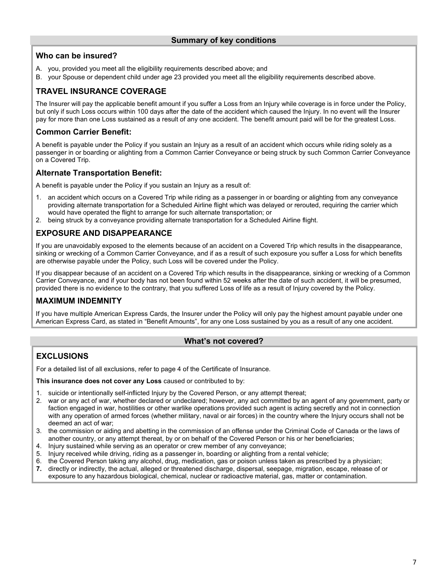# Who can be insured?

- A. you, provided you meet all the eligibility requirements described above; and
- B. your Spouse or dependent child under age 23 provided you meet all the eligibility requirements described above.

# TRAVEL INSURANCE COVERAGE

The Insurer will pay the applicable benefit amount if you suffer a Loss from an Injury while coverage is in force under the Policy, but only if such Loss occurs within 100 days after the date of the accident which caused the Injury. In no event will the Insurer pay for more than one Loss sustained as a result of any one accident. The benefit amount paid will be for the greatest Loss.

# Common Carrier Benefit:

A benefit is payable under the Policy if you sustain an Injury as a result of an accident which occurs while riding solely as a passenger in or boarding or alighting from a Common Carrier Conveyance or being struck by such Common Carrier Conveyance on a Covered Trip.

# Alternate Transportation Benefit:

A benefit is payable under the Policy if you sustain an Injury as a result of:

- 1. an accident which occurs on a Covered Trip while riding as a passenger in or boarding or alighting from any conveyance providing alternate transportation for a Scheduled Airline flight which was delayed or rerouted, requiring the carrier which would have operated the flight to arrange for such alternate transportation; or
- 2. being struck by a conveyance providing alternate transportation for a Scheduled Airline flight.

# EXPOSURE AND DISAPPEARANCE

If you are unavoidably exposed to the elements because of an accident on a Covered Trip which results in the disappearance, sinking or wrecking of a Common Carrier Conveyance, and if as a result of such exposure you suffer a Loss for which benefits are otherwise payable under the Policy, such Loss will be covered under the Policy.

If you disappear because of an accident on a Covered Trip which results in the disappearance, sinking or wrecking of a Common Carrier Conveyance, and if your body has not been found within 52 weeks after the date of such accident, it will be presumed, provided there is no evidence to the contrary, that you suffered Loss of life as a result of Injury covered by the Policy.

# MAXIMUM INDEMNITY

If you have multiple American Express Cards, the Insurer under the Policy will only pay the highest amount payable under one American Express Card, as stated in "Benefit Amounts", for any one Loss sustained by you as a result of any one accident.

# What's not covered?

# **EXCLUSIONS**

For a detailed list of all exclusions, refer to page 4 of the Certificate of Insurance.

This insurance does not cover any Loss caused or contributed to by:

- 1. suicide or intentionally self-inflicted Injury by the Covered Person, or any attempt thereat;
- 2. war or any act of war, whether declared or undeclared; however, any act committed by an agent of any government, party or faction engaged in war, hostilities or other warlike operations provided such agent is acting secretly and not in connection with any operation of armed forces (whether military, naval or air forces) in the country where the Injury occurs shall not be deemed an act of war;
- 3. the commission or aiding and abetting in the commission of an offense under the Criminal Code of Canada or the laws of another country, or any attempt thereat, by or on behalf of the Covered Person or his or her beneficiaries;
- 4. Injury sustained while serving as an operator or crew member of any conveyance;
- 5. Injury received while driving, riding as a passenger in, boarding or alighting from a rental vehicle;
- 6. the Covered Person taking any alcohol, drug, medication, gas or poison unless taken as prescribed by a physician;<br>7. directly or indirectly, the actual, alleged or threatened discharge, dispersal, seepage, migration, es
- directly or indirectly, the actual, alleged or threatened discharge, dispersal, seepage, migration, escape, release of or exposure to any hazardous biological, chemical, nuclear or radioactive material, gas, matter or contamination.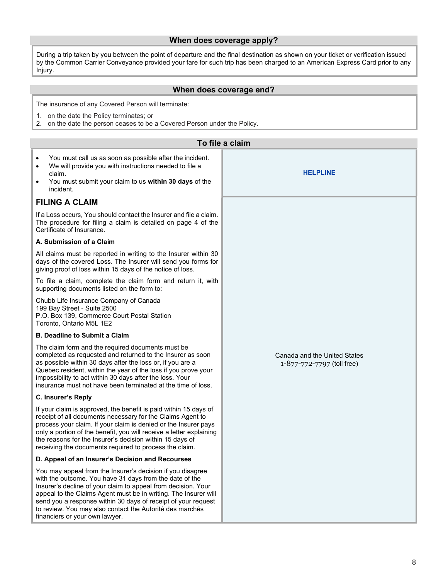### When does coverage apply?

During a trip taken by you between the point of departure and the final destination as shown on your ticket or verification issued by the Common Carrier Conveyance provided your fare for such trip has been charged to an American Express Card prior to any Injury.

### When does coverage end?

The insurance of any Covered Person will terminate:

- 1. on the date the Policy terminates; or
- 2. on the date the person ceases to be a Covered Person under the Policy.

| To file a claim                                                                                                                                                                                                                                                                                                                                                                                                          |                                                            |  |
|--------------------------------------------------------------------------------------------------------------------------------------------------------------------------------------------------------------------------------------------------------------------------------------------------------------------------------------------------------------------------------------------------------------------------|------------------------------------------------------------|--|
| You must call us as soon as possible after the incident.<br>$\bullet$<br>We will provide you with instructions needed to file a<br>$\bullet$<br>claim.<br>You must submit your claim to us within 30 days of the<br>$\bullet$<br>incident.                                                                                                                                                                               | <b>HELPLINE</b>                                            |  |
| <b>FILING A CLAIM</b>                                                                                                                                                                                                                                                                                                                                                                                                    |                                                            |  |
| If a Loss occurs, You should contact the Insurer and file a claim.<br>The procedure for filing a claim is detailed on page 4 of the<br>Certificate of Insurance.                                                                                                                                                                                                                                                         |                                                            |  |
| A. Submission of a Claim                                                                                                                                                                                                                                                                                                                                                                                                 |                                                            |  |
| All claims must be reported in writing to the Insurer within 30<br>days of the covered Loss. The Insurer will send you forms for<br>giving proof of loss within 15 days of the notice of loss.                                                                                                                                                                                                                           |                                                            |  |
| To file a claim, complete the claim form and return it, with<br>supporting documents listed on the form to:                                                                                                                                                                                                                                                                                                              |                                                            |  |
| Chubb Life Insurance Company of Canada<br>199 Bay Street - Suite 2500<br>P.O. Box 139, Commerce Court Postal Station<br>Toronto, Ontario M5L 1E2                                                                                                                                                                                                                                                                         |                                                            |  |
| <b>B. Deadline to Submit a Claim</b>                                                                                                                                                                                                                                                                                                                                                                                     |                                                            |  |
| The claim form and the required documents must be<br>completed as requested and returned to the Insurer as soon<br>as possible within 30 days after the loss or, if you are a<br>Quebec resident, within the year of the loss if you prove your<br>impossibility to act within 30 days after the loss. Your<br>insurance must not have been terminated at the time of loss.                                              | Canada and the United States<br>1-877-772-7797 (toll free) |  |
| C. Insurer's Reply                                                                                                                                                                                                                                                                                                                                                                                                       |                                                            |  |
| If your claim is approved, the benefit is paid within 15 days of<br>receipt of all documents necessary for the Claims Agent to<br>process your claim. If your claim is denied or the Insurer pays<br>only a portion of the benefit, you will receive a letter explaining<br>the reasons for the Insurer's decision within 15 days of<br>receiving the documents required to process the claim.                           |                                                            |  |
| D. Appeal of an Insurer's Decision and Recourses                                                                                                                                                                                                                                                                                                                                                                         |                                                            |  |
| You may appeal from the Insurer's decision if you disagree<br>with the outcome. You have 31 days from the date of the<br>Insurer's decline of your claim to appeal from decision. Your<br>appeal to the Claims Agent must be in writing. The Insurer will<br>send you a response within 30 days of receipt of your request<br>to review. You may also contact the Autorité des marchés<br>financiers or your own lawyer. |                                                            |  |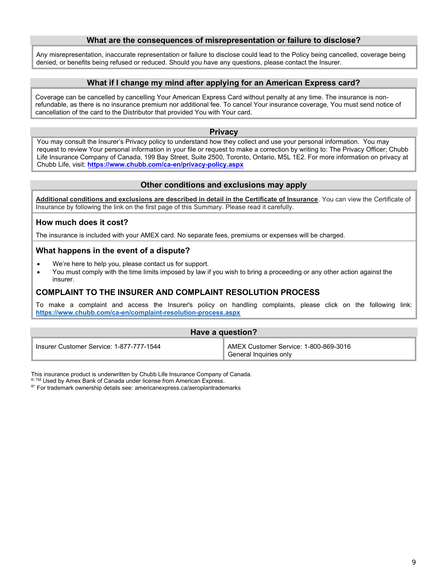### What are the consequences of misrepresentation or failure to disclose?

Any misrepresentation, inaccurate representation or failure to disclose could lead to the Policy being cancelled, coverage being denied, or benefits being refused or reduced. Should you have any questions, please contact the Insurer.

### What if I change my mind after applying for an American Express card?

Coverage can be cancelled by cancelling Your American Express Card without penalty at any time. The insurance is nonrefundable, as there is no insurance premium nor additional fee. To cancel Your insurance coverage, You must send notice of cancellation of the card to the Distributor that provided You with Your card.

#### **Privacy**

You may consult the Insurer's Privacy policy to understand how they collect and use your personal information. You may request to review Your personal information in your file or request to make a correction by writing to: The Privacy Officer; Chubb Life Insurance Company of Canada, 199 Bay Street, Suite 2500, Toronto, Ontario, M5L 1E2. For more information on privacy at Chubb Life, visit: https://www.chubb.com/ca-en/privacy-policy.aspx

### Other conditions and exclusions may apply

Additional conditions and exclusions are described in detail in the Certificate of Insurance. You can view the Certificate of Insurance by following the link on the first page of this Summary. Please read it carefully.

### How much does it cost?

The insurance is included with your AMEX card. No separate fees, premiums or expenses will be charged.

### What happens in the event of a dispute?

- We're here to help you, please contact us for support.
- You must comply with the time limits imposed by law if you wish to bring a proceeding or any other action against the insurer.

### COMPLAINT TO THE INSURER AND COMPLAINT RESOLUTION PROCESS

To make a complaint and access the Insurer's policy on handling complaints, please click on the following link: https://www.chubb.com/ca-en/complaint-resolution-process.aspx

| Have a question?                         |                                                                                     |
|------------------------------------------|-------------------------------------------------------------------------------------|
| Insurer Customer Service: 1-877-777-1544 | AMEX Customer Service: 1-800-869-3016<br><sup><i>s</i></sup> General Inquiries only |

This insurance product is underwritten by Chubb Life Insurance Company of Canada.

®, TM Used by Amex Bank of Can[ada under license from Americ](https://www.insurance.americanexpress.com/ca/files/2019/06/190514-Air-Miles-Plat.-Ins.-Certs-16380-Eng.pdf)an Express.

®\* For trademark ownership details see: americanexpress.ca/aeroplantrademarks